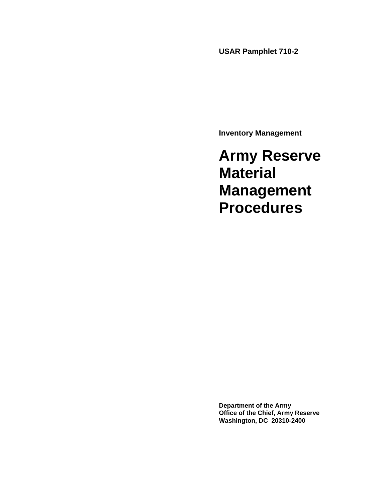**USAR Pamphlet 710-2** 

**Inventory Management** 

**Army Reserve Material Management Procedures** 

**Department of the Army Office of the Chief, Army Reserve Washington, DC 20310-2400**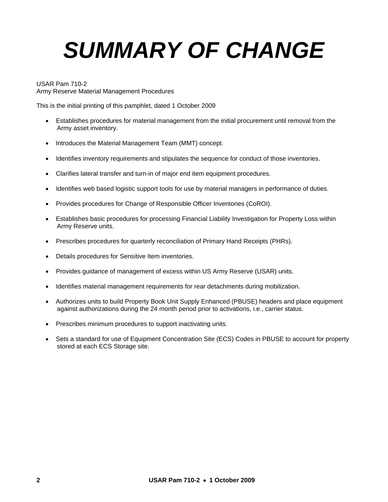# *SUMMARY OF CHANGE*

USAR Pam 710-2

Army Reserve Material Management Procedures

This is the initial printing of this pamphlet, dated 1 October 2009

- Establishes procedures for material management from the initial procurement until removal from the Army asset inventory.
- Introduces the Material Management Team (MMT) concept.
- Identifies inventory requirements and stipulates the sequence for conduct of those inventories.
- Clarifies lateral transfer and turn-in of major end item equipment procedures.
- Identifies web based logistic support tools for use by material managers in performance of duties.
- Provides procedures for Change of Responsible Officer Inventories (CoROI).
- Establishes basic procedures for processing Financial Liability Investigation for Property Loss within Army Reserve units.
- Prescribes procedures for quarterly reconciliation of Primary Hand Receipts (PHRs).
- Details procedures for Sensitive Item inventories.
- Provides guidance of management of excess within US Army Reserve (USAR) units.
- Identifies material management requirements for rear detachments during mobilization.
- Authorizes units to build Property Book Unit Supply Enhanced (PBUSE) headers and place equipment against authorizations during the 24 month period prior to activations, i.e., carrier status.
- Prescribes minimum procedures to support inactivating units.
- Sets a standard for use of Equipment Concentration Site (ECS) Codes in PBUSE to account for property stored at each ECS Storage site.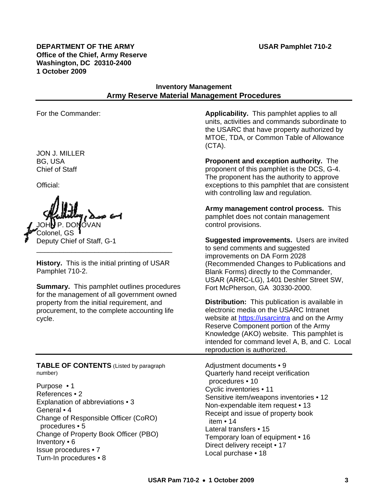**DEPARTMENT OF THE ARMY USAR Pamphlet 710-2 Office of the Chief, Army Reserve Washington, DC 20310-2400 1 October 2009** 

### **Inventory Management Army Reserve Material Management Procedures**

JON J. MILLER BG, USA Chief of Staff

Official:

IOVAN Colonel, GS Deputy Chief of Staff, G-1

**History.** This is the initial printing of USAR Pamphlet 710-2.

\_\_\_\_\_\_\_\_\_\_\_\_\_\_\_\_\_\_\_\_\_\_\_\_\_\_\_\_\_\_\_\_\_\_\_

**Summary.** This pamphlet outlines procedures for the management of all government owned property from the initial requirement, and procurement, to the complete accounting life cycle.

**TABLE OF CONTENTS** (Listed by paragraph Adjustment documents • 9 number) Quarterly hand receipt verification

Change of Property Book Officer (PBO)<br>Inventory • 6 Temporary loan of equipment • 16 niventory • o<br>
Issue procedures • 7 Marchase 18 Turn-In procedures • 8 Nurrel 17 Local purchase • 18 Turn-In procedures • 8

For the Commander: **Applicability.** This pamphlet applies to all units, activities and commands subordinate to the USARC that have property authorized by MTOE, TDA, or Common Table of Allowance (CTA).

> **Proponent and exception authority.** The proponent of this pamphlet is the DCS, G-4. The proponent has the authority to approve exceptions to this pamphlet that are consistent with controlling law and regulation.

**Army management control process.** This pamphlet does not contain management control provisions.

**Suggested improvements.** Users are invited to send comments and suggested improvements on DA Form 2028 (Recommended Changes to Publications and Blank Forms) directly to the Commander, USAR (ARRC-LG), 1401 Deshler Street SW, Fort McPherson, GA 30330-2000.

**Distribution:** This publication is available in electronic media on the USARC Intranet website at [https://usarcintra](https://usarcintra/) and on the Army Reserve Component portion of the Army Knowledge (AKO) website. This pamphlet is intended for command level A, B, and C. Local reproduction is authorized.

Purpose • 1<br>
References • 2<br>
Explanation of abbreviations • 3<br>
General • 4<br>
Change of Responsible Officer (CoRO)<br>
Procedures • 5<br>
Change of Property Book Officer (PBO)<br>
Change of Property Book Officer (PBO)<br>
Change of Prop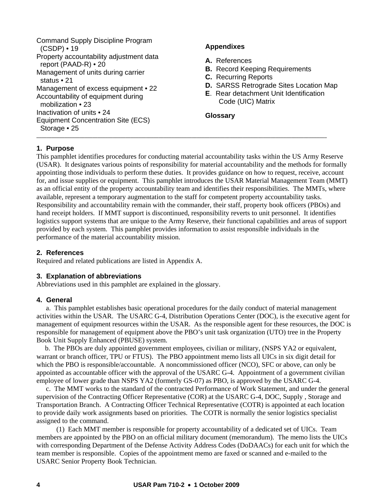```
Command Supply Discipline Program 
  (CSDP) • 19 
Property accountability adjustment data 
  report (PAAD-R) • 20 
Management of units during carrier 
  status • 21 
Management of excess equipment • 22
Accountability of equipment during 
  mobilization • 23 
Inactivation of units • 24 
Equipment Concentration Site (ECS) 
  Storage • 25 
__________________________________________________________________________________________________________________
```
#### **Appendixes**

- **A.** References
- **B.** Record Keeping Requirements
- **C.** Recurring Reports
- **D.** SARSS Retrograde Sites Location Map
- **E**. Rear detachment Unit Identification Code (UIC) Matrix

#### **Glossary**

#### **1. Purpose**

This pamphlet identifies procedures for conducting material accountability tasks within the US Army Reserve (USAR). It designates various points of responsibility for material accountability and the methods for formally appointing those individuals to perform these duties. It provides guidance on how to request, receive, account for, and issue supplies or equipment. This pamphlet introduces the USAR Material Management Team (MMT) as an official entity of the property accountability team and identifies their responsibilities. The MMTs, where available, represent a temporary augmentation to the staff for competent property accountability tasks. Responsibility and accountability remain with the commander, their staff, property book officers (PBOs) and hand receipt holders. If MMT support is discontinued, responsibility reverts to unit personnel. It identifies logistics support systems that are unique to the Army Reserve, their functional capabilities and areas of support provided by each system. This pamphlet provides information to assist responsible individuals in the performance of the material accountability mission.

#### **2. References**

Required and related publications are listed in Appendix A.

#### **3. Explanation of abbreviations**

Abbreviations used in this pamphlet are explained in the glossary.

#### **4. General**

 a. This pamphlet establishes basic operational procedures for the daily conduct of material management activities within the USAR. The USARC G-4, Distribution Operations Center (DOC), is the executive agent for management of equipment resources within the USAR. As the responsible agent for these resources, the DOC is responsible for management of equipment above the PBO's unit task organization (UTO) tree in the Property Book Unit Supply Enhanced (PBUSE) system.

 b. The PBOs are duly appointed government employees, civilian or military, (NSPS YA2 or equivalent, warrant or branch officer, TPU or FTUS). The PBO appointment memo lists all UICs in six digit detail for which the PBO is responsible/accountable. A noncommissioned officer (NCO), SFC or above, can only be appointed as accountable officer with the approval of the USARC G-4. Appointment of a government civilian employee of lower grade than NSPS YA2 (formerly GS-07) as PBO, is approved by the USARC G-4.

 c. The MMT works to the standard of the contracted Performance of Work Statement, and under the general supervision of the Contracting Officer Representative (COR) at the USARC G-4, DOC, Supply , Storage and Transportation Branch. A Contracting Officer Technical Representative (COTR) is appointed at each location to provide daily work assignments based on priorities. The COTR is normally the senior logistics specialist assigned to the command.

 (1) Each MMT member is responsible for property accountability of a dedicated set of UICs. Team members are appointed by the PBO on an official military document (memorandum). The memo lists the UICs with corresponding Department of the Defense Activity Address Codes (DoDAACs) for each unit for which the team member is responsible. Copies of the appointment memo are faxed or scanned and e-mailed to the USARC Senior Property Book Technician.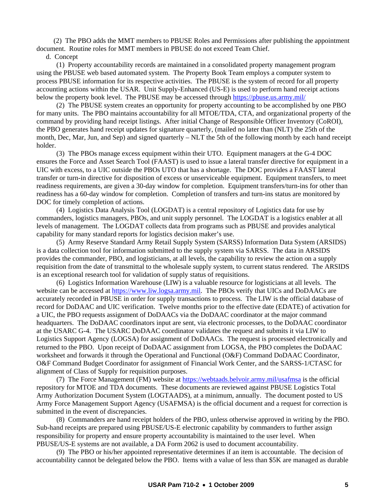(2) The PBO adds the MMT members to PBUSE Roles and Permissions after publishing the appointment document. Routine roles for MMT members in PBUSE do not exceed Team Chief.

d. Concept

 (1) Property accountability records are maintained in a consolidated property management program using the PBUSE web based automated system. The Property Book Team employs a computer system to process PBUSE information for its respective activities. The PBUSE is the system of record for all property accounting actions within the USAR. Unit Supply-Enhanced (US-E) is used to perform hand receipt actions below the property book level. The PBUSE may be accessed through <https://pbuse.us.army.mil/>

 (2) The PBUSE system creates an opportunity for property accounting to be accomplished by one PBO for many units. The PBO maintains accountability for all MTOE/TDA, CTA, and organizational property of the command by providing hand receipt listings. After initial Change of Responsible Officer Inventory (CoROI), the PBO generates hand receipt updates for signature quarterly, (mailed no later than (NLT) the 25th of the month, Dec, Mar, Jun, and Sep) and signed quarterly – NLT the 5th of the following month by each hand receipt holder.

 (3) The PBOs manage excess equipment within their UTO. Equipment managers at the G-4 DOC ensures the Force and Asset Search Tool (FAAST) is used to issue a lateral transfer directive for equipment in a UIC with excess, to a UIC outside the PBOs UTO that has a shortage. The DOC provides a FAAST lateral transfer or turn-in directive for disposition of excess or unserviceable equipment. Equipment transfers, to meet readiness requirements, are given a 30-day window for completion. Equipment transfers/turn-ins for other than readiness has a 60-day window for completion. Completion of transfers and turn-ins status are monitored by DOC for timely completion of actions.

 (4) Logistics Data Analysis Tool (LOGDAT) is a central repository of Logistics data for use by commanders, logistics managers, PBOs, and unit supply personnel. The LOGDAT is a logistics enabler at all levels of management. The LOGDAT collects data from programs such as PBUSE and provides analytical capability for many standard reports for logistics decision maker's use.

 (5) Army Reserve Standard Army Retail Supply System (SARSS) Information Data System (ARSIDS) is a data collection tool for information submitted to the supply system via SARSS. The data in ARSIDS provides the commander, PBO, and logisticians, at all levels, the capability to review the action on a supply requisition from the date of transmittal to the wholesale supply system, to current status rendered. The ARSIDS is an exceptional research tool for validation of supply status of requisitions.

 (6) Logistics Information Warehouse (LIW) is a valuable resource for logisticians at all levels. The website can be accessed at [https://www.liw.logsa.army.mil.](https://www.liw.logsa.army.mil/) The PBOs verify that UICs and DoDAACs are accurately recorded in PBUSE in order for supply transactions to process. The LIW is the official database of record for DoDAAC and UIC verification. Twelve months prior to the effective date (EDATE) of activation for a UIC, the PBO requests assignment of DoDAACs via the DoDAAC coordinator at the major command headquarters. The DoDAAC coordinators input are sent, via electronic processes, to the DoDAAC coordinator at the USARC G-4. The USARC DoDAAC coordinator validates the request and submits it via LIW to Logistics Support Agency (LOGSA) for assignment of DoDAACs. The request is processed electronically and returned to the PBO. Upon receipt of DoDAAC assignment from LOGSA, the PBO completes the DoDAAC worksheet and forwards it through the Operational and Functional (O&F) Command DoDAAC Coordinator, O&F Command Budget Coordinator for assignment of Financial Work Center, and the SARSS-1/CTASC for alignment of Class of Supply for requisition purposes.

 (7) The Force Management (FM) website at<https://webtaads.belvoir.army.mil/usafmsa> is the official repository for MTOE and TDA documents. These documents are reviewed against PBUSE Logistics Total Army Authorization Document System (LOGTAADS), at a minimum, annually. The document posted to US Army Force Management Support Agency (USAFMSA) is the official document and a request for correction is submitted in the event of discrepancies.

 (8) Commanders are hand receipt holders of the PBO, unless otherwise approved in writing by the PBO. Sub-hand receipts are prepared using PBUSE/US-E electronic capability by commanders to further assign responsibility for property and ensure property accountability is maintained to the user level. When PBUSE/US-E systems are not available, a DA Form 2062 is used to document accountability.

 (9) The PBO or his/her appointed representative determines if an item is accountable. The decision of accountability cannot be delegated below the PBO. Items with a value of less than \$5K are managed as durable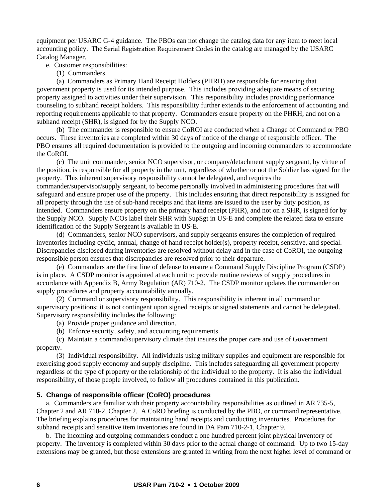equipment per USARC G-4 guidance. The PBOs can not change the catalog data for any item to meet local accounting policy. The Serial Registration Requirement Codes in the catalog are managed by the USARC Catalog Manager.

e. Customer responsibilities:

(1) Commanders.

 (a) Commanders as Primary Hand Receipt Holders (PHRH) are responsible for ensuring that government property is used for its intended purpose. This includes providing adequate means of securing property assigned to activities under their supervision. This responsibility includes providing performance counseling to subhand receipt holders. This responsibility further extends to the enforcement of accounting and reporting requirements applicable to that property. Commanders ensure property on the PHRH, and not on a subhand receipt (SHR), is signed for by the Supply NCO.

 (b) The commander is responsible to ensure CoROI are conducted when a Change of Command or PBO occurs. These inventories are completed within 30 days of notice of the change of responsible officer. The PBO ensures all required documentation is provided to the outgoing and incoming commanders to accommodate the CoROI.

 (c) The unit commander, senior NCO supervisor, or company/detachment supply sergeant, by virtue of the position, is responsible for all property in the unit, regardless of whether or not the Soldier has signed for the property. This inherent supervisory responsibility cannot be delegated, and requires the commander/supervisor/supply sergeant, to become personally involved in administering procedures that will safeguard and ensure proper use of the property. This includes ensuring that direct responsibility is assigned for all property through the use of sub-hand receipts and that items are issued to the user by duty position, as intended. Commanders ensure property on the primary hand receipt (PHR), and not on a SHR, is signed for by the Supply NCO. Supply NCOs label their SHR with SupSgt in US-E and complete the related data to ensure identification of the Supply Sergeant is available in US-E.

 (d) Commanders, senior NCO supervisors, and supply sergeants ensures the completion of required inventories including cyclic, annual, change of hand receipt holder(s), property receipt, sensitive, and special. Discrepancies disclosed during inventories are resolved without delay and in the case of CoROI, the outgoing responsible person ensures that discrepancies are resolved prior to their departure.

 (e) Commanders are the first line of defense to ensure a Command Supply Discipline Program (CSDP) is in place. A CSDP monitor is appointed at each unit to provide routine reviews of supply procedures in accordance with Appendix B, Army Regulation (AR) 710-2. The CSDP monitor updates the commander on supply procedures and property accountability annually.

 (2) Command or supervisory responsibility. This responsibility is inherent in all command or supervisory positions; it is not contingent upon signed receipts or signed statements and cannot be delegated. Supervisory responsibility includes the following:

- (a) Provide proper guidance and direction.
- (b) Enforce security, safety, and accounting requirements.

 (c) Maintain a command/supervisory climate that insures the proper care and use of Government property.

 (3) Individual responsibility. All individuals using military supplies and equipment are responsible for exercising good supply economy and supply discipline. This includes safeguarding all government property regardless of the type of property or the relationship of the individual to the property. It is also the individual responsibility, of those people involved, to follow all procedures contained in this publication.

#### **5. Change of responsible officer (CoRO) procedures**

 a. Commanders are familiar with their property accountability responsibilities as outlined in AR 735-5, Chapter 2 and AR 710-2, Chapter 2. A CoRO briefing is conducted by the PBO, or command representative. The briefing explains procedures for maintaining hand receipts and conducting inventories. Procedures for subhand receipts and sensitive item inventories are found in DA Pam 710-2-1, Chapter 9.

 b. The incoming and outgoing commanders conduct a one hundred percent joint physical inventory of property. The inventory is completed within 30 days prior to the actual change of command. Up to two 15-day extensions may be granted, but those extensions are granted in writing from the next higher level of command or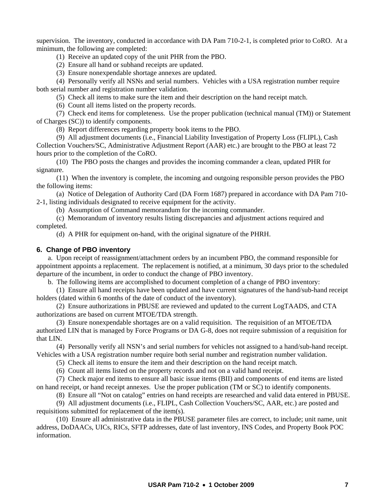supervision. The inventory, conducted in accordance with DA Pam 710-2-1, is completed prior to CoRO. At a minimum, the following are completed:

(1) Receive an updated copy of the unit PHR from the PBO.

(2) Ensure all hand or subhand receipts are updated.

(3) Ensure nonexpendable shortage annexes are updated.

 (4) Personally verify all NSNs and serial numbers. Vehicles with a USA registration number require both serial number and registration number validation.

(5) Check all items to make sure the item and their description on the hand receipt match.

(6) Count all items listed on the property records.

 (7) Check end items for completeness. Use the proper publication (technical manual (TM)) or Statement of Charges (SC)) to identify components.

(8) Report differences regarding property book items to the PBO.

 (9) All adjustment documents (i.e., Financial Liability Investigation of Property Loss (FLIPL), Cash Collection Vouchers/SC, Administrative Adjustment Report (AAR) etc.) are brought to the PBO at least 72 hours prior to the completion of the CoRO.

 (10) The PBO posts the changes and provides the incoming commander a clean, updated PHR for signature.

 (11) When the inventory is complete, the incoming and outgoing responsible person provides the PBO the following items:

 (a) Notice of Delegation of Authority Card (DA Form 1687) prepared in accordance with DA Pam 710- 2-1, listing individuals designated to receive equipment for the activity.

(b) Assumption of Command memorandum for the incoming commander.

 (c) Memorandum of inventory results listing discrepancies and adjustment actions required and completed.

(d) A PHR for equipment on-hand, with the original signature of the PHRH.

#### **6. Change of PBO inventory**

 a. Upon receipt of reassignment/attachment orders by an incumbent PBO, the command responsible for appointment appoints a replacement. The replacement is notified, at a minimum, 30 days prior to the scheduled departure of the incumbent, in order to conduct the change of PBO inventory.

b. The following items are accomplished to document completion of a change of PBO inventory:

 (1) Ensure all hand receipts have been updated and have current signatures of the hand/sub-hand receipt holders (dated within 6 months of the date of conduct of the inventory).

 (2) Ensure authorizations in PBUSE are reviewed and updated to the current LogTAADS, and CTA authorizations are based on current MTOE/TDA strength.

 (3) Ensure nonexpendable shortages are on a valid requisition. The requisition of an MTOE/TDA authorized LIN that is managed by Force Programs or DA G-8, does not require submission of a requisition for that LIN.

 (4) Personally verify all NSN's and serial numbers for vehicles not assigned to a hand/sub-hand receipt. Vehicles with a USA registration number require both serial number and registration number validation.

(5) Check all items to ensure the item and their description on the hand receipt match.

(6) Count all items listed on the property records and not on a valid hand receipt.

 (7) Check major end items to ensure all basic issue items (BII) and components of end items are listed on hand receipt, or hand receipt annexes. Use the proper publication (TM or SC) to identify components.

(8) Ensure all "Not on catalog" entries on hand receipts are researched and valid data entered in PBUSE.

 (9) All adjustment documents (i.e., FLIPL, Cash Collection Vouchers/SC, AAR, etc.) are posted and requisitions submitted for replacement of the item(s).

 (10) Ensure all administrative data in the PBUSE parameter files are correct, to include; unit name, unit address, DoDAACs, UICs, RICs, SFTP addresses, date of last inventory, INS Codes, and Property Book POC information.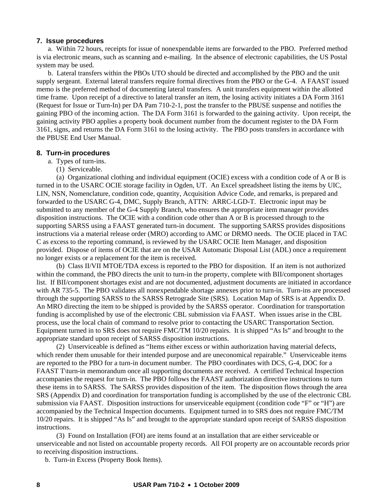#### **7. Issue procedures**

 a. Within 72 hours, receipts for issue of nonexpendable items are forwarded to the PBO. Preferred method is via electronic means, such as scanning and e-mailing. In the absence of electronic capabilities, the US Postal system may be used.

 b. Lateral transfers within the PBOs UTO should be directed and accomplished by the PBO and the unit supply sergeant. External lateral transfers require formal directives from the PBO or the G-4. A FAAST issued memo is the preferred method of documenting lateral transfers. A unit transfers equipment within the allotted time frame. Upon receipt of a directive to lateral transfer an item, the losing activity initiates a DA Form 3161 (Request for Issue or Turn-In) per DA Pam 710-2-1, post the transfer to the PBUSE suspense and notifies the gaining PBO of the incoming action. The DA Form 3161 is forwarded to the gaining activity. Upon receipt, the gaining activity PBO applies a property book document number from the document register to the DA Form 3161, signs, and returns the DA Form 3161 to the losing activity. The PBO posts transfers in accordance with the PBUSE End User Manual.

#### **8. Turn-in procedures**

- a. Types of turn-ins.
	- (1) Serviceable.

 (a) Organizational clothing and individual equipment (OCIE) excess with a condition code of A or B is turned in to the USARC OCIE storage facility in Ogden, UT. An Excel spreadsheet listing the items by UIC, LIN, NSN, Nomenclature, condition code, quantity, Acquisition Advice Code, and remarks, is prepared and forwarded to the USARC G-4, DMC, Supply Branch, ATTN: ARRC-LGD-T. Electronic input may be submitted to any member of the G-4 Supply Branch, who ensures the appropriate item manager provides disposition instructions. The OCIE with a condition code other than A or B is processed through to the supporting SARSS using a FAAST generated turn-in document. The supporting SARSS provides dispositions instructions via a material release order (MRO) according to AMC or DRMO needs. The OCIE placed in TAC C as excess to the reporting command, is reviewed by the USARC OCIE Item Manager, and disposition provided. Dispose of items of OCIE that are on the USAR Automatic Disposal List (ADL) once a requirement no longer exists or a replacement for the item is received.

 (b) Class II/VII MTOE/TDA excess is reported to the PBO for disposition. If an item is not authorized within the command, the PBO directs the unit to turn-in the property, complete with BII/component shortages list. If BII/component shortages exist and are not documented, adjustment documents are initiated in accordance with AR 735-5. The PBO validates all nonexpendable shortage annexes prior to turn-in. Turn-ins are processed through the supporting SARSS to the SARSS Retrograde Site (SRS). Location Map of SRS is at Appendix D. An MRO directing the item to be shipped is provided by the SARSS operator. Coordination for transportation funding is accomplished by use of the electronic CBL submission via FAAST. When issues arise in the CBL process, use the local chain of command to resolve prior to contacting the USARC Transportation Section. Equipment turned in to SRS does not require FMC/TM 10/20 repairs. It is shipped "As Is" and brought to the appropriate standard upon receipt of SARSS disposition instructions.

 (2) Unserviceable is defined as "Items either excess or within authorization having material defects, which render them unusable for their intended purpose and are uneconomical repairable." Unserviceable items are reported to the PBO for a turn-in document number. The PBO coordinates with DCS, G-4, DOC for a FAAST T\turn-in memorandum once all supporting documents are received. A certified Technical Inspection accompanies the request for turn-in. The PBO follows the FAAST authorization directive instructions to turn these items in to SARSS. The SARSS provides disposition of the item. The disposition flows through the area SRS (Appendix D) and coordination for transportation funding is accomplished by the use of the electronic CBL submission via FAAST. Disposition instructions for unserviceable equipment (condition code "F" or "H") are accompanied by the Technical Inspection documents. Equipment turned in to SRS does not require FMC/TM 10/20 repairs. It is shipped "As Is" and brought to the appropriate standard upon receipt of SARSS disposition instructions.

 (3) Found on Installation (FOI) are items found at an installation that are either serviceable or unserviceable and not listed on accountable property records. All FOI property are on accountable records prior to receiving disposition instructions.

b. Turn-in Excess (Property Book Items).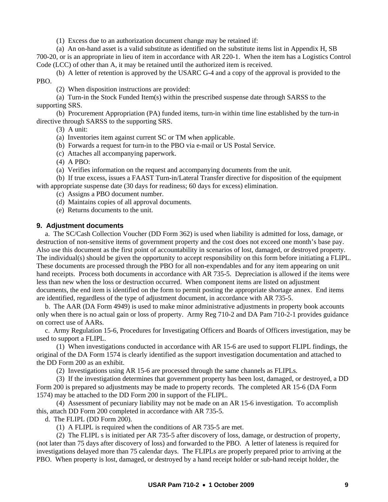(1) Excess due to an authorization document change may be retained if:

 (a) An on-hand asset is a valid substitute as identified on the substitute items list in Appendix H, SB 700-20, or is an appropriate in lieu of item in accordance with AR 220-1. When the item has a Logistics Control Code (LCC) of other than A, it may be retained until the authorized item is received.

 (b) A letter of retention is approved by the USARC G-4 and a copy of the approval is provided to the PBO.

(2) When disposition instructions are provided:

 (a) Turn-in the Stock Funded Item(s) within the prescribed suspense date through SARSS to the supporting SRS.

 (b) Procurement Appropriation (PA) funded items, turn-in within time line established by the turn-in directive through SARSS to the supporting SRS.

(3) A unit:

(a) Inventories item against current SC or TM when applicable.

- (b) Forwards a request for turn-in to the PBO via e-mail or US Postal Service.
- (c) Attaches all accompanying paperwork.
- (4) A PBO:
- (a) Verifies information on the request and accompanying documents from the unit.

 (b) If true excess, issues a FAAST Turn-in/Lateral Transfer directive for disposition of the equipment with appropriate suspense date (30 days for readiness; 60 days for excess) elimination.

(c) Assigns a PBO document number.

(d) Maintains copies of all approval documents.

(e) Returns documents to the unit.

# **9. Adjustment documents**

 a. The SC/Cash Collection Voucher (DD Form 362) is used when liability is admitted for loss, damage, or destruction of non-sensitive items of government property and the cost does not exceed one month's base pay. Also use this document as the first point of accountability in scenarios of lost, damaged, or destroyed property. The individual(s) should be given the opportunity to accept responsibility on this form before initiating a FLIPL. These documents are processed through the PBO for all non-expendables and for any item appearing on unit hand receipts. Process both documents in accordance with AR 735-5. Depreciation is allowed if the items were less than new when the loss or destruction occurred. When component items are listed on adjustment documents, the end item is identified on the form to permit posting the appropriate shortage annex. End items are identified, regardless of the type of adjustment document, in accordance with AR 735-5.

 b. The AAR (DA Form 4949) is used to make minor administrative adjustments in property book accounts only when there is no actual gain or loss of property. Army Reg 710-2 and DA Pam 710-2-1 provides guidance on correct use of AARs.

 c. Army Regulation 15-6, Procedures for Investigating Officers and Boards of Officers investigation, may be used to support a FLIPL.

 (1) When investigations conducted in accordance with AR 15-6 are used to support FLIPL findings, the original of the DA Form 1574 is clearly identified as the support investigation documentation and attached to the DD Form 200 as an exhibit.

(2) Investigations using AR 15-6 are processed through the same channels as FLIPLs.

 (3) If the investigation determines that government property has been lost, damaged, or destroyed, a DD Form 200 is prepared so adjustments may be made to property records. The completed AR 15-6 (DA Form 1574) may be attached to the DD Form 200 in support of the FLIPL.

 (4) Assessment of pecuniary liability may not be made on an AR 15-6 investigation. To accomplish this, attach DD Form 200 completed in accordance with AR 735-5.

d. The FLIPL (DD Form 200).

(1) A FLIPL is required when the conditions of AR 735-5 are met.

 (2) The FLIPL s is initiated per AR 735-5 after discovery of loss, damage, or destruction of property, (not later than 75 days after discovery of loss) and forwarded to the PBO. A letter of lateness is required for investigations delayed more than 75 calendar days. The FLIPLs are properly prepared prior to arriving at the PBO. When property is lost, damaged, or destroyed by a hand receipt holder or sub-hand receipt holder, the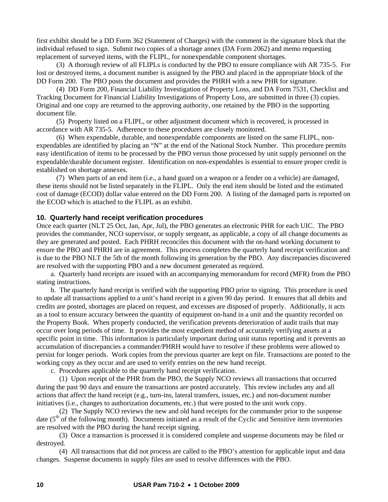first exhibit should be a DD Form 362 (Statement of Charges) with the comment in the signature block that the individual refused to sign. Submit two copies of a shortage annex (DA Form 2062) and memo requesting replacement of surveyed items, with the FLIPL, for nonexpendable component shortages.

 (3) A thorough review of all FLIPLs is conducted by the PBO to ensure compliance with AR 735-5. For lost or destroyed items, a document number is assigned by the PBO and placed in the appropriate block of the DD Form 200. The PBO posts the document and provides the PHRH with a new PHR for signature.

 (4) DD Form 200, Financial Liability Investigation of Property Loss, and DA Form 7531, Checklist and Tracking Document for Financial Liability Investigations of Property Loss, are submitted in three (3) copies. Original and one copy are returned to the approving authority, one retained by the PBO in the supporting document file.

 (5) Property listed on a FLIPL, or other adjustment document which is recovered, is processed in accordance with AR 735-5. Adherence to these procedures are closely monitored.

 (6) When expendable, durable, and nonexpendable components are listed on the same FLIPL, nonexpendables are identified by placing an "N" at the end of the National Stock Number. This procedure permits easy identification of items to be processed by the PBO versus those processed by unit supply personnel on the expendable/durable document register. Identification on non-expendables is essential to ensure proper credit is established on shortage annexes.

 (7) When parts of an end item (i.e., a hand guard on a weapon or a fender on a vehicle) are damaged, these items should not be listed separately in the FLIPL. Only the end item should be listed and the estimated cost of damage (ECOD) dollar value entered on the DD Form 200. A listing of the damaged parts is reported on the ECOD which is attached to the FLIPL as an exhibit.

#### **10. Quarterly hand receipt verification procedures**

Once each quarter (NLT 25 Oct, Jan, Apr, Jul), the PBO generates an electronic PHR for each UIC. The PBO provides the commander, NCO supervisor, or supply sergeant, as applicable, a copy of all change documents as they are generated and posted. Each PHRH reconciles this document with the on-hand working document to ensure the PBO and PHRH are in agreement. This process completes the quarterly hand receipt verification and is due to the PBO NLT the 5th of the month following its generation by the PBO. Any discrepancies discovered are resolved with the supporting PBO and a new document generated as required.

 a. Quarterly hand receipts are issued with an accompanying memorandum for record (MFR) from the PBO stating instructions.

 b. The quarterly hand receipt is verified with the supporting PBO prior to signing. This procedure is used to update all transactions applied to a unit's hand receipt in a given 90 day period. It ensures that all debits and credits are posted, shortages are placed on request, and excesses are disposed of properly. Additionally, it acts as a tool to ensure accuracy between the quantity of equipment on-hand in a unit and the quantity recorded on the Property Book. When properly conducted, the verification prevents deterioration of audit trails that may occur over long periods of time. It provides the most expedient method of accurately verifying assets at a specific point in time. This information is particularly important during unit status reporting and it prevents an accumulation of discrepancies a commander/PHRH would have to resolve if these problems were allowed to persist for longer periods. Work copies from the previous quarter are kept on file. Transactions are posted to the working copy as they occur and are used to verify entries on the new hand receipt.

c. Procedures applicable to the quarterly hand receipt verification.

 (1) Upon receipt of the PHR from the PBO, the Supply NCO reviews all transactions that occurred during the past 90 days and ensure the transactions are posted accurately. This review includes any and all actions that affect the hand receipt (e.g., turn-ins, lateral transfers, issues, etc.) and non-document number initiatives (i.e., changes to authorization documents, etc.) that were posted to the unit work copy.

 (2) The Supply NCO reviews the new and old hand receipts for the commander prior to the suspense date  $(5<sup>th</sup>$  of the following month). Documents initiated as a result of the Cyclic and Sensitive item inventories are resolved with the PBO during the hand receipt signing.

 (3) Once a transaction is processed it is considered complete and suspense documents may be filed or destroyed.

 (4) All transactions that did not process are called to the PBO's attention for applicable input and data changes. Suspense documents in supply files are used to resolve differences with the PBO.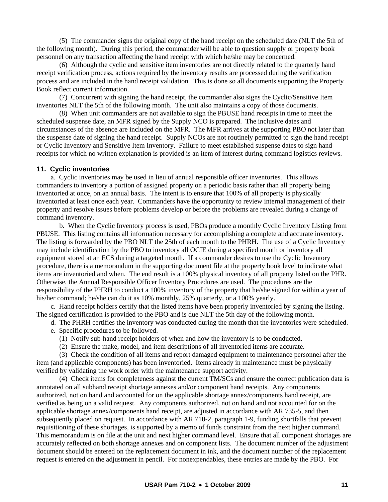(5) The commander signs the original copy of the hand receipt on the scheduled date (NLT the 5th of the following month). During this period, the commander will be able to question supply or property book personnel on any transaction affecting the hand receipt with which he/she may be concerned.

 (6) Although the cyclic and sensitive item inventories are not directly related to the quarterly hand receipt verification process, actions required by the inventory results are processed during the verification process and are included in the hand receipt validation. This is done so all documents supporting the Property Book reflect current information.

 (7) Concurrent with signing the hand receipt, the commander also signs the Cyclic/Sensitive Item inventories NLT the 5th of the following month. The unit also maintains a copy of those documents.

 (8) When unit commanders are not available to sign the PBUSE hand receipts in time to meet the scheduled suspense date, an MFR signed by the Supply NCO is prepared. The inclusive dates and circumstances of the absence are included on the MFR. The MFR arrives at the supporting PBO not later than the suspense date of signing the hand receipt. Supply NCOs are not routinely permitted to sign the hand receipt or Cyclic Inventory and Sensitive Item Inventory. Failure to meet established suspense dates to sign hand receipts for which no written explanation is provided is an item of interest during command logistics reviews.

#### **11. Cyclic inventories**

 a. Cyclic inventories may be used in lieu of annual responsible officer inventories. This allows commanders to inventory a portion of assigned property on a periodic basis rather than all property being inventoried at once, on an annual basis. The intent is to ensure that 100% of all property is physically inventoried at least once each year. Commanders have the opportunity to review internal management of their property and resolve issues before problems develop or before the problems are revealed during a change of command inventory.

 b. When the Cyclic Inventory process is used, PBOs produce a monthly Cyclic Inventory Listing from PBUSE. This listing contains all information necessary for accomplishing a complete and accurate inventory. The listing is forwarded by the PBO NLT the 25th of each month to the PHRH. The use of a Cyclic Inventory may include identification by the PBO to inventory all OCIE during a specified month or inventory all equipment stored at an ECS during a targeted month. If a commander desires to use the Cyclic Inventory procedure, there is a memorandum in the supporting document file at the property book level to indicate what items are inventoried and when. The end result is a 100% physical inventory of all property listed on the PHR. Otherwise, the Annual Responsible Officer Inventory Procedures are used. The procedures are the responsibility of the PHRH to conduct a 100% inventory of the property that he/she signed for within a year of his/her command; he/she can do it as 10% monthly, 25% quarterly, or a 100% yearly.

 c. Hand receipt holders certify that the listed items have been properly inventoried by signing the listing. The signed certification is provided to the PBO and is due NLT the 5th day of the following month.

d. The PHRH certifies the inventory was conducted during the month that the inventories were scheduled.

e. Specific procedures to be followed.

(1) Notify sub-hand receipt holders of when and how the inventory is to be conducted.

(2) Ensure the make, model, and item descriptions of all inventoried items are accurate.

 (3) Check the condition of all items and report damaged equipment to maintenance personnel after the item (and applicable components) has been inventoried. Items already in maintenance must be physically verified by validating the work order with the maintenance support activity.

 (4) Check items for completeness against the current TM/SCs and ensure the correct publication data is annotated on all subhand receipt shortage annexes and/or component hand receipts. Any components authorized, not on hand and accounted for on the applicable shortage annex/components hand receipt, are verified as being on a valid request. Any components authorized, not on hand and not accounted for on the applicable shortage annex/components hand receipt, are adjusted in accordance with AR 735-5, and then subsequently placed on request. In accordance with AR 710-2, paragraph 1-9, funding shortfalls that prevent requisitioning of these shortages, is supported by a memo of funds constraint from the next higher command. This memorandum is on file at the unit and next higher command level. Ensure that all component shortages are accurately reflected on both shortage annexes and on component lists. The document number of the adjustment document should be entered on the replacement document in ink, and the document number of the replacement request is entered on the adjustment in pencil. For nonexpendables, these entries are made by the PBO. For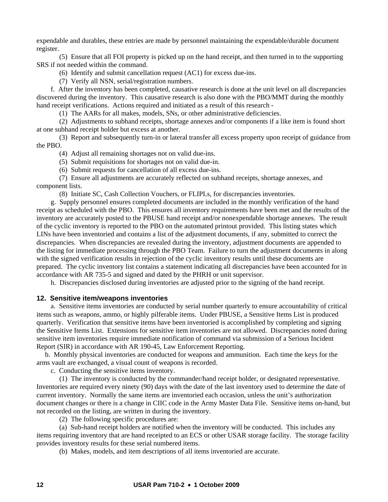expendable and durables, these entries are made by personnel maintaining the expendable/durable document register.

 (5) Ensure that all FOI property is picked up on the hand receipt, and then turned in to the supporting SRS if not needed within the command.

(6) Identify and submit cancellation request (AC1) for excess due-ins.

(7) Verify all NSN, serial/registration numbers.

 f. After the inventory has been completed, causative research is done at the unit level on all discrepancies discovered during the inventory. This causative research is also done with the PBO/MMT during the monthly hand receipt verifications. Actions required and initiated as a result of this research -

(1) The AARs for all makes, models, SNs, or other administrative deficiencies.

 (2) Adjustments to subhand receipts, shortage annexes and/or components if a like item is found short at one subhand receipt holder but excess at another.

 (3) Report and subsequently turn-in or lateral transfer all excess property upon receipt of guidance from the PBO.

(4) Adjust all remaining shortages not on valid due-ins.

(5) Submit requisitions for shortages not on valid due-in.

(6) Submit requests for cancellation of all excess due-ins.

 (7) Ensure all adjustments are accurately reflected on subhand receipts, shortage annexes, and component lists.

(8) Initiate SC, Cash Collection Vouchers, or FLIPLs, for discrepancies inventories.

 g. Supply personnel ensures completed documents are included in the monthly verification of the hand receipt as scheduled with the PBO. This ensures all inventory requirements have been met and the results of the inventory are accurately posted to the PBUSE hand receipt and/or nonexpendable shortage annexes. The result of the cyclic inventory is reported to the PBO on the automated printout provided. This listing states which LINs have been inventoried and contains a list of the adjustment documents, if any, submitted to correct the discrepancies. When discrepancies are revealed during the inventory, adjustment documents are appended to the listing for immediate processing through the PBO Team. Failure to turn the adjustment documents in along with the signed verification results in rejection of the cyclic inventory results until these documents are prepared. The cyclic inventory list contains a statement indicating all discrepancies have been accounted for in accordance with AR 735-5 and signed and dated by the PHRH or unit supervisor.

h. Discrepancies disclosed during inventories are adjusted prior to the signing of the hand receipt.

#### **12. Sensitive item/weapons inventories**

 a. Sensitive items inventories are conducted by serial number quarterly to ensure accountability of critical items such as weapons, ammo, or highly pilferable items. Under PBUSE, a Sensitive Items List is produced quarterly. Verification that sensitive items have been inventoried is accomplished by completing and signing the Sensitive Items List. Extensions for sensitive item inventories are not allowed. Discrepancies noted during sensitive item inventories require immediate notification of command via submission of a Serious Incident Report (SIR) in accordance with AR 190-45, Law Enforcement Reporting.

 b. Monthly physical inventories are conducted for weapons and ammunition. Each time the keys for the arms vault are exchanged, a visual count of weapons is recorded.

c. Conducting the sensitive items inventory.

 (1) The inventory is conducted by the commander/hand receipt holder, or designated representative. Inventories are required every ninety (90) days with the date of the last inventory used to determine the date of current inventory. Normally the same items are inventoried each occasion, unless the unit's authorization document changes or there is a change in CIIC code in the Army Master Data File. Sensitive items on-hand, but not recorded on the listing, are written in during the inventory.

(2) The following specific procedures are:

 (a) Sub-hand receipt holders are notified when the inventory will be conducted. This includes any items requiring inventory that are hand receipted to an ECS or other USAR storage facility. The storage facility provides inventory results for these serial numbered items.

(b) Makes, models, and item descriptions of all items inventoried are accurate.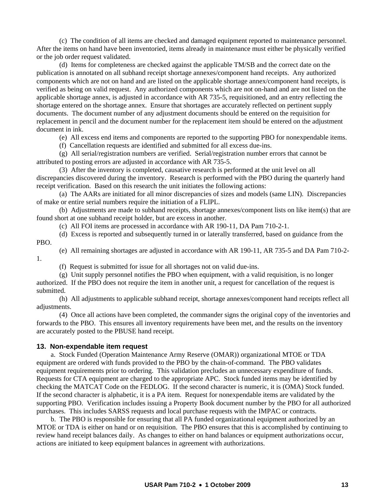(c) The condition of all items are checked and damaged equipment reported to maintenance personnel. After the items on hand have been inventoried, items already in maintenance must either be physically verified or the job order request validated.

 (d) Items for completeness are checked against the applicable TM/SB and the correct date on the publication is annotated on all subhand receipt shortage annexes/component hand receipts. Any authorized components which are not on hand and are listed on the applicable shortage annex/component hand receipts, is verified as being on valid request. Any authorized components which are not on-hand and are not listed on the applicable shortage annex, is adjusted in accordance with AR 735-5, requisitioned, and an entry reflecting the shortage entered on the shortage annex. Ensure that shortages are accurately reflected on pertinent supply documents. The document number of any adjustment documents should be entered on the requisition for replacement in pencil and the document number for the replacement item should be entered on the adjustment document in ink.

(e) All excess end items and components are reported to the supporting PBO for nonexpendable items.

(f) Cancellation requests are identified and submitted for all excess due-ins.

 (g) All serial/registration numbers are verified. Serial/registration number errors that cannot be attributed to posting errors are adjusted in accordance with AR 735-5.

 (3) After the inventory is completed, causative research is performed at the unit level on all discrepancies discovered during the inventory. Research is performed with the PBO during the quarterly hand receipt verification. Based on this research the unit initiates the following actions:

 (a) The AARs are initiated for all minor discrepancies of sizes and models (same LIN). Discrepancies of make or entire serial numbers require the initiation of a FLIPL.

 (b) Adjustments are made to subhand receipts, shortage annexes/component lists on like item(s) that are found short at one subhand receipt holder, but are excess in another.

(c) All FOI items are processed in accordance with AR 190-11, DA Pam 710-2-1.

 (d) Excess is reported and subsequently turned in or laterally transferred, based on guidance from the PBO.

(e) All remaining shortages are adjusted in accordance with AR 190-11, AR 735-5 and DA Pam 710-2-

(f) Request is submitted for issue for all shortages not on valid due-ins.

 (g) Unit supply personnel notifies the PBO when equipment, with a valid requisition, is no longer authorized. If the PBO does not require the item in another unit, a request for cancellation of the request is submitted.

 (h) All adjustments to applicable subhand receipt, shortage annexes/component hand receipts reflect all adjustments.

 (4) Once all actions have been completed, the commander signs the original copy of the inventories and forwards to the PBO. This ensures all inventory requirements have been met, and the results on the inventory are accurately posted to the PBUSE hand receipt.

#### **13. Non-expendable item request**

1.

 a. Stock Funded (Operation Maintenance Army Reserve (OMAR)) organizational MTOE or TDA equipment are ordered with funds provided to the PBO by the chain-of-command. The PBO validates equipment requirements prior to ordering. This validation precludes an unnecessary expenditure of funds. Requests for CTA equipment are charged to the appropriate APC. Stock funded items may be identified by checking the MATCAT Code on the FEDLOG. If the second character is numeric, it is (OMA) Stock funded. If the second character is alphabetic, it is a PA item. Request for nonexpendable items are validated by the supporting PBO. Verification includes issuing a Property Book document number by the PBO for all authorized purchases. This includes SARSS requests and local purchase requests with the IMPAC or contracts.

 b. The PBO is responsible for ensuring that all PA funded organizational equipment authorized by an MTOE or TDA is either on hand or on requisition. The PBO ensures that this is accomplished by continuing to review hand receipt balances daily. As changes to either on hand balances or equipment authorizations occur, actions are initiated to keep equipment balances in agreement with authorizations.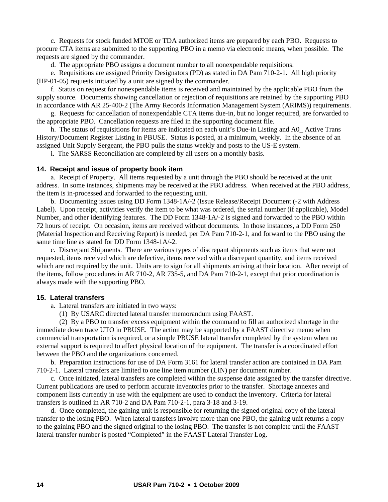c. Requests for stock funded MTOE or TDA authorized items are prepared by each PBO. Requests to procure CTA items are submitted to the supporting PBO in a memo via electronic means, when possible. The requests are signed by the commander.

d. The appropriate PBO assigns a document number to all nonexpendable requisitions.

 e. Requisitions are assigned Priority Designators (PD) as stated in DA Pam 710-2-1. All high priority (HP-01-05) requests initiated by a unit are signed by the commander.

 f. Status on request for nonexpendable items is received and maintained by the applicable PBO from the supply source. Documents showing cancellation or rejection of requisitions are retained by the supporting PBO in accordance with AR 25-400-2 (The Army Records Information Management System (ARIMS)) requirements.

 g. Requests for cancellation of nonexpendable CTA items due-in, but no longer required, are forwarded to the appropriate PBO. Cancellation requests are filed in the supporting document file.

 h. The status of requisitions for items are indicated on each unit's Due-in Listing and A0\_ Active Trans History/Document Register Listing in PBUSE. Status is posted, at a minimum, weekly. In the absence of an assigned Unit Supply Sergeant, the PBO pulls the status weekly and posts to the US-E system.

i. The SARSS Reconciliation are completed by all users on a monthly basis.

#### **14. Receipt and issue of property book item**

 a. Receipt of Property. All items requested by a unit through the PBO should be received at the unit address. In some instances, shipments may be received at the PBO address. When received at the PBO address, the item is in-processed and forwarded to the requesting unit.

 b. Documenting issues using DD Form 1348-1A/-2 (Issue Release/Receipt Document (-2 with Address Label). Upon receipt, activities verify the item to be what was ordered, the serial number (if applicable), Model Number, and other identifying features. The DD Form 1348-1A/-2 is signed and forwarded to the PBO within 72 hours of receipt. On occasion, items are received without documents. In those instances, a DD Form 250 (Material Inspection and Receiving Report) is needed, per DA Pam 710-2-1, and forward to the PBO using the same time line as stated for DD Form 1348-1A/-2.

 c. Discrepant Shipments. There are various types of discrepant shipments such as items that were not requested, items received which are defective, items received with a discrepant quantity, and items received which are not required by the unit. Units are to sign for all shipments arriving at their location. After receipt of the items, follow procedures in AR 710-2, AR 735-5, and DA Pam 710-2-1, except that prior coordination is always made with the supporting PBO.

#### **15. Lateral transfers**

a. Lateral transfers are initiated in two ways:

(1) By USARC directed lateral transfer memorandum using FAAST.

 (2) By a PBO to transfer excess equipment within the command to fill an authorized shortage in the immediate down trace UTO in PBUSE. The action may be supported by a FAAST directive memo when commercial transportation is required, or a simple PBUSE lateral transfer completed by the system when no external support is required to affect physical location of the equipment. The transfer is a coordinated effort between the PBO and the organizations concerned.

 b. Preparation instructions for use of DA Form 3161 for lateral transfer action are contained in DA Pam 710-2-1. Lateral transfers are limited to one line item number (LIN) per document number.

 c. Once initiated, lateral transfers are completed within the suspense date assigned by the transfer directive. Current publications are used to perform accurate inventories prior to the transfer. Shortage annexes and component lists currently in use with the equipment are used to conduct the inventory. Criteria for lateral transfers is outlined in AR 710-2 and DA Pam 710-2-1, para 3-18 and 3-19.

 d. Once completed, the gaining unit is responsible for returning the signed original copy of the lateral transfer to the losing PBO. When lateral transfers involve more than one PBO, the gaining unit returns a copy to the gaining PBO and the signed original to the losing PBO. The transfer is not complete until the FAAST lateral transfer number is posted "Completed" in the FAAST Lateral Transfer Log.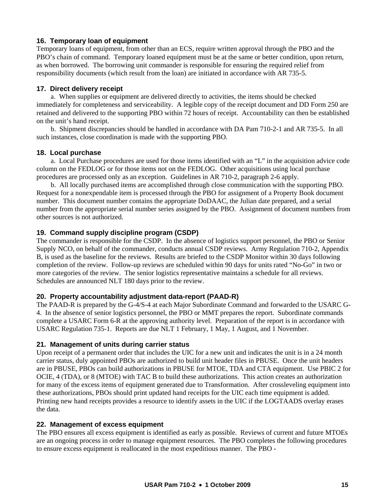# **16. Temporary loan of equipment**

Temporary loans of equipment, from other than an ECS, require written approval through the PBO and the PBO's chain of command. Temporary loaned equipment must be at the same or better condition, upon return, as when borrowed. The borrowing unit commander is responsible for ensuring the required relief from responsibility documents (which result from the loan) are initiated in accordance with AR 735-5.

# **17. Direct delivery receipt**

 a. When supplies or equipment are delivered directly to activities, the items should be checked immediately for completeness and serviceability. A legible copy of the receipt document and DD Form 250 are retained and delivered to the supporting PBO within 72 hours of receipt. Accountability can then be established on the unit's hand receipt.

 b. Shipment discrepancies should be handled in accordance with DA Pam 710-2-1 and AR 735-5. In all such instances, close coordination is made with the supporting PBO.

#### **18. Local purchase**

 a. Local Purchase procedures are used for those items identified with an "L" in the acquisition advice code column on the FEDLOG or for those items not on the FEDLOG. Other acquisitions using local purchase procedures are processed only as an exception. Guidelines in AR 710-2, paragraph 2-6 apply.

 b. All locally purchased items are accomplished through close communication with the supporting PBO. Request for a nonexpendable item is processed through the PBO for assignment of a Property Book document number. This document number contains the appropriate DoDAAC, the Julian date prepared, and a serial number from the appropriate serial number series assigned by the PBO. Assignment of document numbers from other sources is not authorized.

# **19. Command supply discipline program (CSDP)**

The commander is responsible for the CSDP. In the absence of logistics support personnel, the PBO or Senior Supply NCO, on behalf of the commander, conducts annual CSDP reviews. Army Regulation 710-2, Appendix B, is used as the baseline for the reviews. Results are briefed to the CSDP Monitor within 30 days following completion of the review. Follow-up reviews are scheduled within 90 days for units rated "No-Go" in two or more categories of the review. The senior logistics representative maintains a schedule for all reviews. Schedules are announced NLT 180 days prior to the review.

# **20. Property accountability adjustment data-report (PAAD-R)**

The PAAD-R is prepared by the G-4/S-4 at each Major Subordinate Command and forwarded to the USARC G-4. In the absence of senior logistics personnel, the PBO or MMT prepares the report. Subordinate commands complete a USARC Form 6-R at the approving authority level. Preparation of the report is in accordance with USARC Regulation 735-1. Reports are due NLT 1 February, 1 May, 1 August, and 1 November.

#### **21. Management of units during carrier status**

Upon receipt of a permanent order that includes the UIC for a new unit and indicates the unit is in a 24 month carrier status, duly appointed PBOs are authorized to build unit header files in PBUSE. Once the unit headers are in PBUSE, PBOs can build authorizations in PBUSE for MTOE, TDA and CTA equipment. Use PBIC 2 for OCIE, 4 (TDA), or 8 (MTOE) with TAC B to build these authorizations. This action creates an authorization for many of the excess items of equipment generated due to Transformation. After crossleveling equipment into these authorizations, PBOs should print updated hand receipts for the UIC each time equipment is added. Printing new hand receipts provides a resource to identify assets in the UIC if the LOGTAADS overlay erases the data.

#### **22. Management of excess equipment**

The PBO ensures all excess equipment is identified as early as possible. Reviews of current and future MTOEs are an ongoing process in order to manage equipment resources. The PBO completes the following procedures to ensure excess equipment is reallocated in the most expeditious manner. The PBO -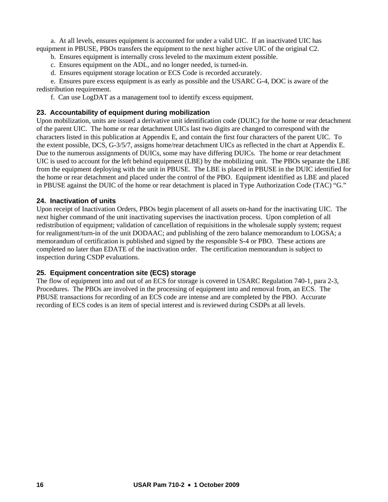a. At all levels, ensures equipment is accounted for under a valid UIC. If an inactivated UIC has equipment in PBUSE, PBOs transfers the equipment to the next higher active UIC of the original C2.

b. Ensures equipment is internally cross leveled to the maximum extent possible.

c. Ensures equipment on the ADL, and no longer needed, is turned-in.

d. Ensures equipment storage location or ECS Code is recorded accurately.

 e. Ensures pure excess equipment is as early as possible and the USARC G-4, DOC is aware of the redistribution requirement.

f. Can use LogDAT as a management tool to identify excess equipment.

# **23. Accountability of equipment during mobilization**

Upon mobilization, units are issued a derivative unit identification code (DUIC) for the home or rear detachment of the parent UIC. The home or rear detachment UICs last two digits are changed to correspond with the characters listed in this publication at Appendix E, and contain the first four characters of the parent UIC. To the extent possible, DCS, G-3/5/7, assigns home/rear detachment UICs as reflected in the chart at Appendix E. Due to the numerous assignments of DUICs, some may have differing DUICs. The home or rear detachment UIC is used to account for the left behind equipment (LBE) by the mobilizing unit. The PBOs separate the LBE from the equipment deploying with the unit in PBUSE. The LBE is placed in PBUSE in the DUIC identified for the home or rear detachment and placed under the control of the PBO. Equipment identified as LBE and placed in PBUSE against the DUIC of the home or rear detachment is placed in Type Authorization Code (TAC) "G."

# **24. Inactivation of units**

Upon receipt of Inactivation Orders, PBOs begin placement of all assets on-hand for the inactivating UIC. The next higher command of the unit inactivating supervises the inactivation process. Upon completion of all redistribution of equipment; validation of cancellation of requisitions in the wholesale supply system; request for realignment/turn-in of the unit DODAAC; and publishing of the zero balance memorandum to LOGSA; a memorandum of certification is published and signed by the responsible S-4 or PBO. These actions are completed no later than EDATE of the inactivation order. The certification memorandum is subject to inspection during CSDP evaluations.

# **25. Equipment concentration site (ECS) storage**

The flow of equipment into and out of an ECS for storage is covered in USARC Regulation 740-1, para 2-3, Procedures. The PBOs are involved in the processing of equipment into and removal from, an ECS. The PBUSE transactions for recording of an ECS code are intense and are completed by the PBO. Accurate recording of ECS codes is an item of special interest and is reviewed during CSDPs at all levels.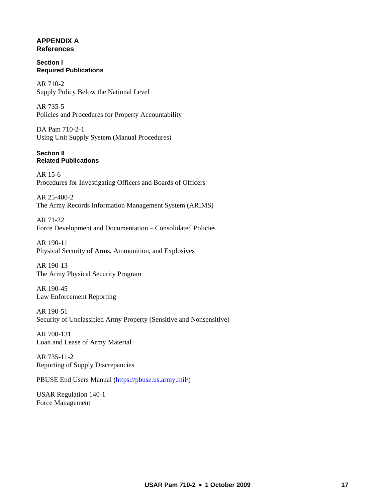# **APPENDIX A References**

#### **Section I Required Publications**

AR 710-2 Supply Policy Below the National Level

AR 735-5 Policies and Procedures for Property Accountability

DA Pam 710-2-1 Using Unit Supply System (Manual Procedures)

#### **Section II Related Publications**

AR 15-6 Procedures for Investigating Officers and Boards of Officers

AR 25-400-2 The Army Records Information Management System (ARIMS)

AR 71-32 Force Development and Documentation – Consolidated Policies

AR 190-11 Physical Security of Arms, Ammunition, and Explosives

AR 190-13 The Army Physical Security Program

AR 190-45 Law Enforcement Reporting

AR 190-51 Security of Unclassified Army Property (Sensitive and Nonsensitive)

AR 700-131 Loan and Lease of Army Material

AR 735-11-2 Reporting of Supply Discrepancies

PBUSE End Users Manual (<https://pbuse.us.army.mil/>)

USAR Regulation 140-1 Force Management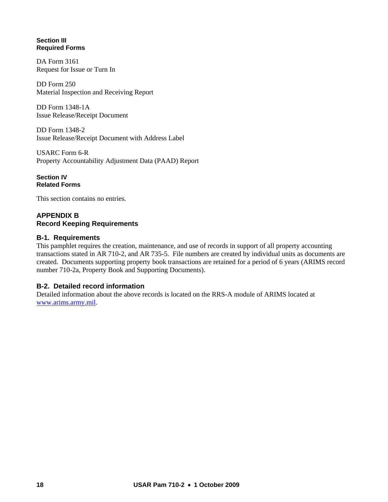## **Section III Required Forms**

DA Form 3161 Request for Issue or Turn In

DD Form 250 Material Inspection and Receiving Report

DD Form 1348-1A Issue Release/Receipt Document

DD Form 1348-2 Issue Release/Receipt Document with Address Label

USARC Form 6-R Property Accountability Adjustment Data (PAAD) Report

**Section IV Related Forms** 

This section contains no entries.

# **APPENDIX B Record Keeping Requirements**

# **B-1. Requirements**

This pamphlet requires the creation, maintenance, and use of records in support of all property accounting transactions stated in AR 710-2, and AR 735-5. File numbers are created by individual units as documents are created. Documents supporting property book transactions are retained for a period of 6 years (ARIMS record number 710-2a, Property Book and Supporting Documents).

# **B-2. Detailed record information**

Detailed information about the above records is located on the RRS-A module of ARIMS located at [www.arims.army.mil](http://www.arims.army.mil/).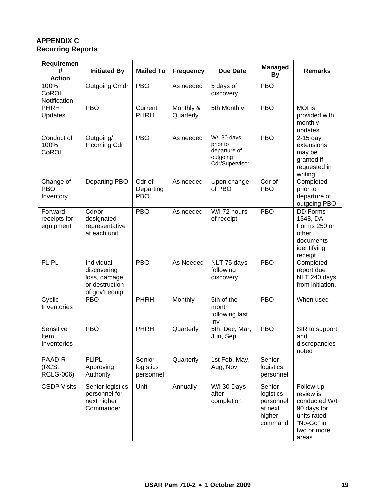# **APPENDIX C Recurring Reports**

| Requiremen<br>tľ<br><b>Action</b>    | <b>Initiated By</b>                                                            | <b>Mailed To</b>                  | <b>Frequency</b>       | <b>Due Date</b>                                                       | <b>Managed</b><br><b>By</b>                                      | <b>Remarks</b>                                                                                              |  |
|--------------------------------------|--------------------------------------------------------------------------------|-----------------------------------|------------------------|-----------------------------------------------------------------------|------------------------------------------------------------------|-------------------------------------------------------------------------------------------------------------|--|
| 100%<br>CoROI<br>Notification        | <b>Outgoing Cmdr</b>                                                           | <b>PBO</b>                        | As needed              | 5 days of<br>discovery                                                | <b>PBO</b>                                                       |                                                                                                             |  |
| PHRH<br>Updates                      | <b>PBO</b>                                                                     | Current<br><b>PHRH</b>            | Monthly &<br>Quarterly | 5th Monthly                                                           | <b>PBO</b>                                                       | MOI is<br>provided with<br>monthly<br>updates                                                               |  |
| Conduct of<br>100%<br>CoROI          | Outgoing/<br>Incoming Cdr                                                      | <b>PBO</b>                        | As needed              | W/I 30 days<br>prior to<br>departure of<br>outgoing<br>Cdr/Supervisor | <b>PBO</b>                                                       | $2-15$ day<br>extensions<br>may be<br>granted if<br>requested in<br>writing                                 |  |
| Change of<br><b>PBO</b><br>Inventory | Departing PBO                                                                  | Cdr of<br>Departing<br><b>PBO</b> | As needed              | Upon change<br>of PBO                                                 | Cdr of<br><b>PBO</b>                                             | Completed<br>prior to<br>departure of<br>outgoing PBO                                                       |  |
| Forward<br>receipts for<br>equipment | Cdr/or<br>designated<br>representative<br>at each unit                         | <b>PBO</b>                        | As needed              | W/I 72 hours<br>of receipt                                            | <b>PBO</b>                                                       | <b>DD Forms</b><br>1348, DA<br>Forms 250 or<br>other<br>documents<br>identifying<br>receipt                 |  |
| <b>FLIPL</b>                         | Individual<br>discovering<br>loss, damage,<br>or destruction<br>of gov't equip | <b>PBO</b>                        | As Needed              | NLT 75 days<br>following<br>discovery                                 | <b>PBO</b>                                                       | Completed<br>report due<br>NLT 240 days<br>from initiation.                                                 |  |
| Cyclic<br>Inventories                | <b>PBO</b>                                                                     | <b>PHRH</b>                       | Monthly                | 5th of the<br>month<br>following last<br>Inv                          | <b>PBO</b>                                                       | When used                                                                                                   |  |
| Sensitive<br>Item<br>Inventories     | <b>PBO</b>                                                                     | <b>PHRH</b>                       | Quarterly              | 5th, Dec, Mar,<br>Jun, Sep                                            | <b>PBO</b>                                                       | SIR to support<br>and<br>discrepancies<br>noted                                                             |  |
| PAAD-R<br>(RCS:<br><b>RCLG-006)</b>  | <b>FLIPL</b><br>Approving<br>Authority                                         | Senior<br>logistics<br>personnel  | Quarterly              | 1st Feb, May,<br>Aug, Nov                                             | Senior<br>logistics<br>personnel                                 |                                                                                                             |  |
| <b>CSDP Visits</b>                   | Senior logistics<br>personnel for<br>next higher<br>Commander                  | Unit                              | Annually               | W/I 30 Days<br>after<br>completion                                    | Senior<br>logistics<br>personnel<br>at next<br>higher<br>command | Follow-up<br>review is<br>conducted W/I<br>90 days for<br>units rated<br>"No-Go" in<br>two or more<br>areas |  |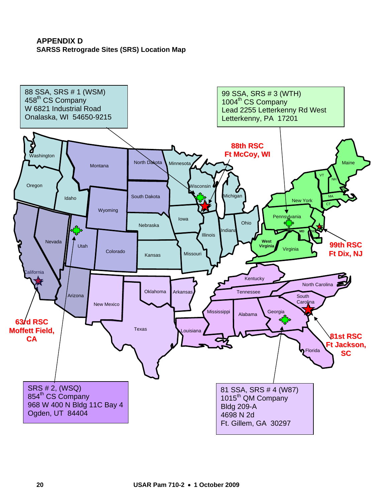# **APPENDIX D SARSS Retrograde Sites (SRS) Location Map**

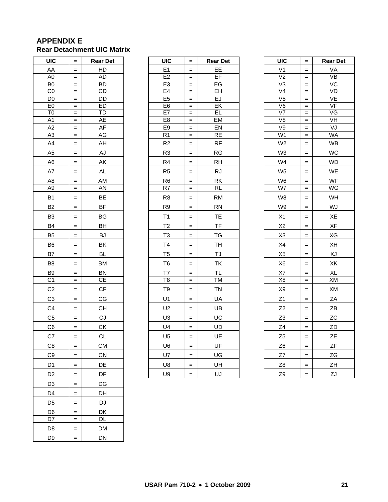# **APPENDIX E Rear Detachment UIC Matrix**

| UIC                              | =          | <b>Rear Det</b>           |  |  |  |
|----------------------------------|------------|---------------------------|--|--|--|
| AA                               | $=$        | HD                        |  |  |  |
| A <sub>0</sub>                   | $=$        | AD                        |  |  |  |
| B <sub>0</sub>                   | $=$        | BD                        |  |  |  |
| $_{\rm CO}$                      | $=$        | CD                        |  |  |  |
| D <sub>0</sub>                   | $=$        | DD                        |  |  |  |
| E <sub>0</sub><br>T <sub>0</sub> | $=$<br>$=$ | ED<br><b>TD</b>           |  |  |  |
| $\overline{A1}$                  | $=$        | <b>AE</b>                 |  |  |  |
| A2                               | $=$        | AF                        |  |  |  |
| A <sub>3</sub>                   | $=$        | AG                        |  |  |  |
| A <sub>4</sub>                   | $=$        | AH                        |  |  |  |
| A <sub>5</sub>                   | $=$        | AJ                        |  |  |  |
| A <sub>6</sub>                   | $=$        | AK                        |  |  |  |
| A7                               | $=$        | <b>AL</b>                 |  |  |  |
| A8                               | $=$        | AM                        |  |  |  |
| A <sub>9</sub>                   | $=$        | AN                        |  |  |  |
| B <sub>1</sub>                   | $=$        | BE                        |  |  |  |
| B <sub>2</sub>                   | $=$        | <b>BF</b>                 |  |  |  |
| B <sub>3</sub>                   | $=$        | ΒG                        |  |  |  |
| B4                               | $=$        | BH                        |  |  |  |
| B <sub>5</sub>                   | $=$        | BJ                        |  |  |  |
| B <sub>6</sub>                   | $=$        | BK                        |  |  |  |
| B7                               | $=$        | BL                        |  |  |  |
| B <sub>8</sub>                   | $=$        | BM                        |  |  |  |
| B <sub>9</sub>                   | =          | BN                        |  |  |  |
| C <sub>1</sub>                   | $=$        | СE                        |  |  |  |
| C <sub>2</sub>                   | $=$        | СF                        |  |  |  |
| C <sub>3</sub>                   | $=$        | CG                        |  |  |  |
| C <sub>4</sub>                   | $=$        | CH                        |  |  |  |
| C <sub>5</sub>                   | $=$        | CJ                        |  |  |  |
| C <sub>6</sub>                   | $=$        | $\underline{\mathsf{CK}}$ |  |  |  |
| C7                               | $=$        | CL                        |  |  |  |
| C <sub>8</sub>                   | =          | $\underline{\mathsf{CM}}$ |  |  |  |
| C <sub>9</sub>                   | =          | CN                        |  |  |  |
| D1                               | =          | DE                        |  |  |  |
| D <sub>2</sub>                   | =          | DF                        |  |  |  |
| D3                               | $=$        | DG                        |  |  |  |
| D4                               | $=$        | DH                        |  |  |  |
| D <sub>5</sub>                   | $=$        | DJ                        |  |  |  |
| D <sub>6</sub>                   | $=$        | DK                        |  |  |  |
| D7                               | $=$        | DL                        |  |  |  |
| D8                               | $=$        | DM                        |  |  |  |
| D <sub>9</sub>                   | $=$        | DN                        |  |  |  |

| UIC                              | $\equiv$             | <b>Rear Det</b>        | UIC                  | $\equiv$                              | <b>Rear Det</b> | <b>UIC</b>                       | $\equiv$                          | <b>Rear Det</b>   |
|----------------------------------|----------------------|------------------------|----------------------|---------------------------------------|-----------------|----------------------------------|-----------------------------------|-------------------|
| AA                               | $\qquad \qquad =$    | HD                     | E <sub>1</sub>       | $\qquad \qquad =$                     | EЕ              | V <sub>1</sub>                   | $=$                               | VA                |
| A <sub>0</sub>                   | $\quad =$            | <b>AD</b>              | E <sub>2</sub>       | $\qquad \qquad =$                     | EF              | V <sub>2</sub>                   | $=$                               | $\overline{\vee}$ |
| B <sub>0</sub>                   | $=$                  | <b>BD</b>              | E <sub>3</sub>       | $\qquad \qquad =$                     | EG              | V <sub>3</sub>                   | $=$                               | VC                |
| CO                               | $\qquad \qquad =$    | <b>CD</b>              | E4                   | $\qquad \qquad =$                     | EΗ              | V <sub>4</sub>                   | $=$                               | VD                |
| D <sub>0</sub>                   | $\quad =$            | DD                     | E <sub>5</sub>       | $\,=\,$                               | EJ              | V <sub>5</sub>                   | $\quad =$                         | VE                |
| E <sub>0</sub>                   | $\equiv$             | <b>ED</b>              | E <sub>6</sub>       | $\qquad \qquad =$                     | EK              | V <sub>6</sub>                   | $\qquad \qquad =$                 | VF                |
| T <sub>0</sub><br>A <sub>1</sub> | $\equiv$<br>$\equiv$ | <b>TD</b><br>AE        | E7                   | $\equiv$                              | EL              | $\overline{V}$<br>V <sub>8</sub> | $\equiv$                          | VG<br>VH          |
| A2                               | $\equiv$             | AF                     | E8<br>E <sub>9</sub> | $\qquad \qquad =\qquad \qquad$<br>$=$ | EM<br>EN        | V9                               | $=$<br>$=$                        | VJ                |
| A <sub>3</sub>                   | $\qquad \qquad =$    | AG                     | R <sub>1</sub>       | $\qquad \qquad =$                     | <b>RE</b>       | W1                               | $=$                               | <b>WA</b>         |
| A4                               | $\quad =$            | AH                     | R <sub>2</sub>       | $\qquad \qquad =$                     | RF              | W <sub>2</sub>                   | $=$                               | <b>WB</b>         |
| A <sub>5</sub>                   | $\quad =$            | AJ                     | R <sub>3</sub>       | $\quad =$                             | RG              | W <sub>3</sub>                   | $=$                               | <b>WC</b>         |
| A <sub>6</sub>                   | $\equiv$             | ΑK                     | R <sub>4</sub>       | $=$                                   | RH              | W4                               | $=$                               | <b>WD</b>         |
| A7                               | $\quad =$            | <b>AL</b>              | R <sub>5</sub>       | $\hspace{1.6cm} = \hspace{1.6cm}$     | <b>RJ</b>       | W <sub>5</sub>                   | $=$                               | WE                |
| A8                               | $\quad =$            | AM                     | R <sub>6</sub>       | $=$                                   | RK              | W <sub>6</sub>                   | $\qquad \qquad =$                 | WF                |
| A <sub>9</sub>                   | $\qquad \qquad =$    | AN                     | $\overline{R7}$      | $\quad =$                             | RL              | $\overline{\text{W7}}$           | $=$                               | WG                |
| B <sub>1</sub>                   | $\qquad \qquad =$    | BE                     | R <sub>8</sub>       | $\qquad \qquad =$                     | <b>RM</b>       | W <sub>8</sub>                   | $=$                               | WH                |
| B <sub>2</sub>                   | $\quad =$            | <b>BF</b>              | R <sub>9</sub>       | $\qquad \qquad =$                     | <b>RN</b>       | W9                               | $=$                               | WJ                |
| B <sub>3</sub>                   | $\equiv$             | BG                     | T1                   | $\qquad \qquad =$                     | TE              | X1                               | $\equiv$                          | XE                |
| <b>B4</b>                        | $\qquad \qquad =$    | <b>BH</b>              | T <sub>2</sub>       | $\equiv$                              | <b>TF</b>       | X <sub>2</sub>                   | $=$                               | XF                |
| B <sub>5</sub>                   | $\quad \  \  =$      | BJ                     | T <sub>3</sub>       | $\quad =$                             | TG              | X <sub>3</sub>                   | $=$                               | XG                |
| B <sub>6</sub>                   | $\qquad \qquad =$    | BK                     | T4                   | $\quad =$                             | TH              | X4                               | $=$                               | XH                |
| B7                               | $\quad =$            | <b>BL</b>              | T <sub>5</sub>       | $\qquad \qquad =$                     | TJ              | X <sub>5</sub>                   | $\hspace{1.6cm} = \hspace{1.6cm}$ | XJ                |
| B <sub>8</sub>                   | $\qquad \qquad =$    | <b>BM</b>              | T <sub>6</sub>       | $\qquad \qquad =$                     | TK              | X <sub>6</sub>                   | $=$                               | XK                |
| B9                               | $\qquad \qquad =$    | <b>BN</b>              | T7                   | $=$                                   | TL              | X7                               | $=$                               | XL                |
| C <sub>1</sub>                   | $\qquad \qquad =$    | <b>CE</b>              | T <sub>8</sub>       | $\qquad \qquad =$                     | ТM              | X <sub>8</sub>                   | $\qquad \qquad =$                 | XM                |
| C <sub>2</sub>                   | $\equiv$             | $\mathsf{C}\mathsf{F}$ | T <sub>9</sub>       | $\qquad \qquad =$                     | <b>TN</b>       | X9                               | $=$                               | XM                |
| C <sub>3</sub>                   | $\qquad \qquad =$    | CG                     | U1                   | $=$                                   | UA              | Z1                               | $\qquad \qquad =$                 | ZA                |
| C <sub>4</sub>                   | $\qquad \qquad =$    | <b>CH</b>              | U <sub>2</sub>       | $\equiv$                              | UB              | Z2                               | $\qquad \qquad =$                 | ZB                |
| C <sub>5</sub>                   | $\quad =$            | CJ                     | U <sub>3</sub>       | $\quad =$                             | UC              | Z <sub>3</sub>                   | $=$                               | ZC                |
| C <sub>6</sub>                   | $\equiv$             | CK                     | U4                   | $\qquad \qquad =$                     | UD              | Z4                               | $\quad =$                         | ZD                |
| C7                               | $\equiv$             | <b>CL</b>              | U <sub>5</sub>       | $\quad =$                             | UE              | Z <sub>5</sub>                   | $=$                               | <b>ZE</b>         |
| C <sub>8</sub>                   | $\qquad \qquad =$    | <b>CM</b>              | U <sub>6</sub>       | $=$                                   | UF              | Z <sub>6</sub>                   | $=$                               | ZF                |
| C9                               | $\qquad \qquad =$    | CN                     | U7                   | $=$                                   | UG              | Z7                               | $\qquad \qquad =$                 | ZG                |
| D <sub>1</sub>                   | $\qquad \qquad =$    | DE                     | U8                   | $\hspace{1.6cm} = \hspace{1.6cm}$     | UH              | Z <sub>8</sub>                   | $=$                               | ZH                |
| D <sub>2</sub>                   | $=$                  | DF                     | U9                   | $=$                                   | UJ              | Z9                               | $=$                               | ZJ                |

| UIC                                        | $=$        | <b>Rear Det</b>          |
|--------------------------------------------|------------|--------------------------|
| V <sub>1</sub>                             | $=$        | VA                       |
| V <sub>2</sub>                             | $=$        | $\overline{\mathsf{VB}}$ |
| V3                                         | $=$        | VC                       |
| $\overline{\vee}$                          | $=$        | VD                       |
| V <sub>5</sub><br>$\overline{\mathsf{V6}}$ | $=$        | VE<br>VF                 |
| V <sub>7</sub>                             | $=$<br>$=$ | VG                       |
| $\overline{\vee}$                          | $=$        | VH                       |
| V9                                         | $=$        |                          |
| $\overline{W1}$                            | $=$        | VJ<br>WA                 |
| W <sub>2</sub>                             | $=$        | <b>WB</b>                |
| $W_3$                                      | $=$        | WC                       |
| W4                                         | $=$        | <b>WD</b>                |
| W <sub>5</sub>                             | $=$        | WE                       |
| W <sub>6</sub>                             |            | WF                       |
| $\overline{\text{W7}}$                     |            | WG                       |
| W8                                         | $=$        | WH                       |
| W9                                         | $=$        | WJ                       |
| X1                                         | $=$        | XE                       |
| X <sub>2</sub>                             | $=$        | XF                       |
| X <sub>3</sub>                             | $=$        | XG                       |
| X <sub>4</sub>                             | $=$        | XH                       |
| X <sub>5</sub>                             | $=$        | XJ                       |
| X <sub>6</sub>                             | $=$        | XK                       |
| X7                                         | $=$        | XL                       |
| X8                                         | $=$        | <u>Хм</u>                |
| $X_9$                                      | $=$        | XM                       |
| Z <sub>1</sub>                             | $=$        | ZA                       |
| Z <sub>2</sub>                             | $=$        | ΖB                       |
| Z <sub>3</sub>                             | $=$        | ZC                       |
| Z <sub>4</sub>                             | $=$        | ZD                       |
| Z <sub>5</sub>                             | $=$        | ZΕ                       |
| Z <sub>6</sub>                             | $=$        | ΖF                       |
| $Z$ 7                                      | $=$        | <u>ZG</u>                |
| $\frac{78}{6}$                             | $\equiv$   | ZΗ                       |
| Z9                                         | $=$        | ZJ                       |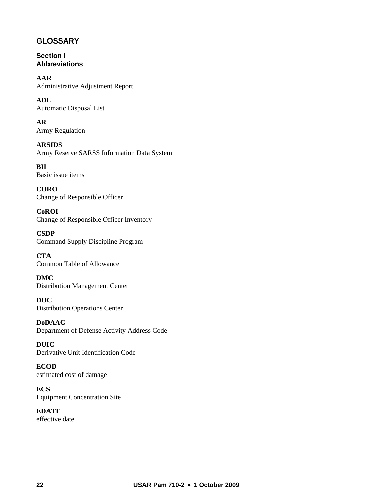# **GLOSSARY**

**Section I Abbreviations** 

**AAR**  Administrative Adjustment Report

**ADL**  Automatic Disposal List

**AR**  Army Regulation

**ARSIDS**  Army Reserve SARSS Information Data System

**BII**  Basic issue items

**CORO**  Change of Responsible Officer

**CoROI**  Change of Responsible Officer Inventory

**CSDP**  Command Supply Discipline Program

**CTA**  Common Table of Allowance

**DMC**  Distribution Management Center

**DOC**  Distribution Operations Center

**DoDAAC**  Department of Defense Activity Address Code

**DUIC**  Derivative Unit Identification Code

**ECOD**  estimated cost of damage

**ECS**  Equipment Concentration Site

**EDATE**  effective date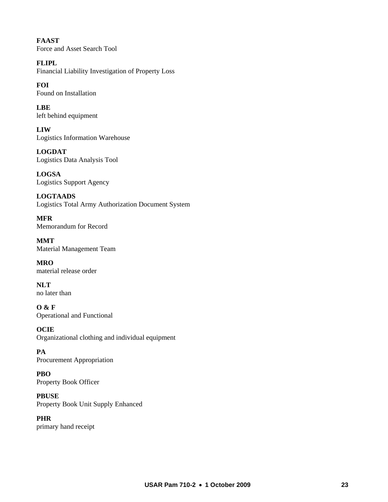**FAAST**  Force and Asset Search Tool

**FLIPL**  Financial Liability Investigation of Property Loss

**FOI**  Found on Installation

**LBE**  left behind equipment

**LIW**  Logistics Information Warehouse

**LOGDAT**  Logistics Data Analysis Tool

**LOGSA**  Logistics Support Agency

**LOGTAADS**  Logistics Total Army Authorization Document System

**MFR**  Memorandum for Record

**MMT**  Material Management Team

**MRO**  material release order

**NLT**  no later than

**O & F**  Operational and Functional

**OCIE**  Organizational clothing and individual equipment

**PA**  Procurement Appropriation

**PBO**  Property Book Officer

**PBUSE**  Property Book Unit Supply Enhanced

**PHR**  primary hand receipt